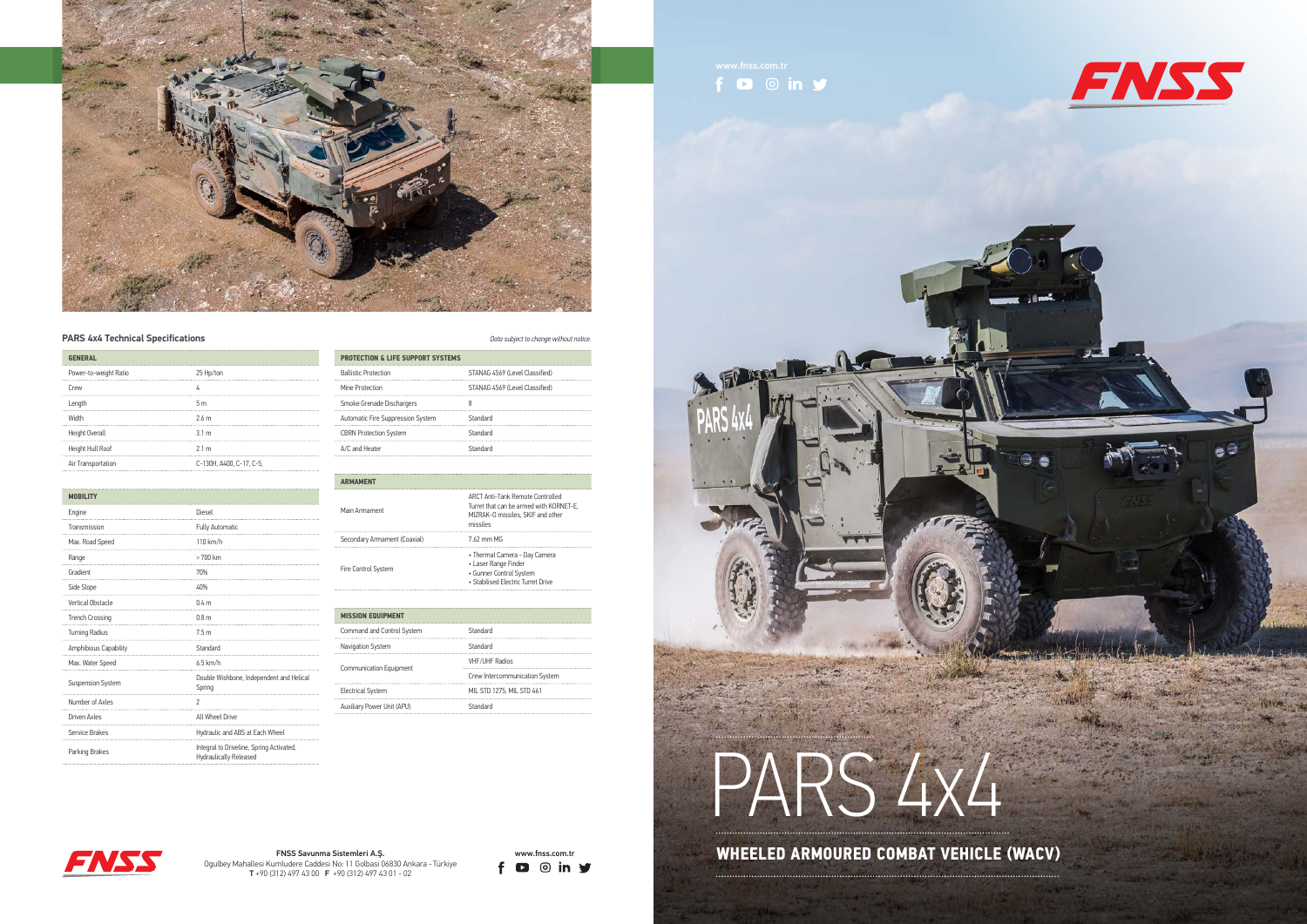









## **PARS 4X4 Technical Specifications** *Data subject to change without notice.*

| <b>GENERAL</b>        |                          |
|-----------------------|--------------------------|
| Power-to-weight Ratio | 25 Hp/ton                |
| Crew                  |                          |
| Length                | 5m                       |
| Width                 | 2.6 <sub>m</sub>         |
| Height Overall        | 3.1 <sub>m</sub>         |
| Height Hull Roof      | 2.1 <sub>m</sub>         |
| Air Transportation    | C-130H, A400, C-17, C-5, |

| MOBILITY                 |                                                                    |
|--------------------------|--------------------------------------------------------------------|
| Engine                   | Diesel                                                             |
| Transmission             | Fully Automatic                                                    |
| Max. Road Speed          | 110 km/h                                                           |
| Range                    | > 700 km                                                           |
| Gradient                 | 70%                                                                |
| Side Slope               | 40%                                                                |
| <b>Vertical Obstacle</b> | 0.4 m                                                              |
| <b>Trench Crossing</b>   | 0.8 <sub>m</sub>                                                   |
| <b>Turning Radius</b>    | 7.5 <sub>m</sub>                                                   |
| Amphibious Capability    | Standard                                                           |
| Max. Water Speed         | $6.5$ km/h                                                         |
| <b>Suspension System</b> | Double Wishbone, Independent and Helical<br>Spring                 |
| Number of Axles          | $\overline{c}$                                                     |
| Driven Axles             | All Wheel Drive                                                    |
| Service Brakes           | Hydraulic and ABS at Each Wheel                                    |
| Parking Brakes           | Integral to Driveline, Spring Activated,<br>Hydraulically Released |

| <b>PROTECTION &amp; LIFE SUPPORT SYSTEMS</b> |                                |
|----------------------------------------------|--------------------------------|
| <b>Ballistic Protection</b>                  | STANAG 4569 (Level Classified) |
| Mine Protection                              | STANAG 4569 (Level Classified) |
| Smoke Grenade Dischargers                    |                                |
| Automatic Fire Suppression System            | Standard                       |
| <b>CBRN Protection System</b>                | Standard                       |
| A/C and Heater                               | Standard                       |

| <b>ARMAMENT</b>              |                                                                                                                              |
|------------------------------|------------------------------------------------------------------------------------------------------------------------------|
| Main Armament                | ARCT Anti-Tank Remote Controlled<br>Turret that can be armed with KORNET-E.<br>MIZRAK-0 missiles. SKIF and other<br>missiles |
| Secondary Armament (Coaxial) | 7.62 mm MG                                                                                                                   |
| Fire Control System          | • Thermal Camera - Day Camera<br>• Laser Range Finder<br>• Gunner Control System<br>• Stabilised Electric Turret Drive       |

| <b>MISSION EQUIPMENT</b>       |                                |
|--------------------------------|--------------------------------|
| Command and Control System     | Standard                       |
| Navigation System              | Standard                       |
| <b>Communication Equipment</b> | <b>VHF/UHF Radios</b>          |
|                                | Crew Intercommunication System |
| <b>Electrical System</b>       | MIL STD 1275, MIL STD 461      |
| Auxiliary Power Unit (APU)     | Standard                       |

## www.fnss.com.tr<br> **f**  $\bullet$  **0** in  $\bullet$